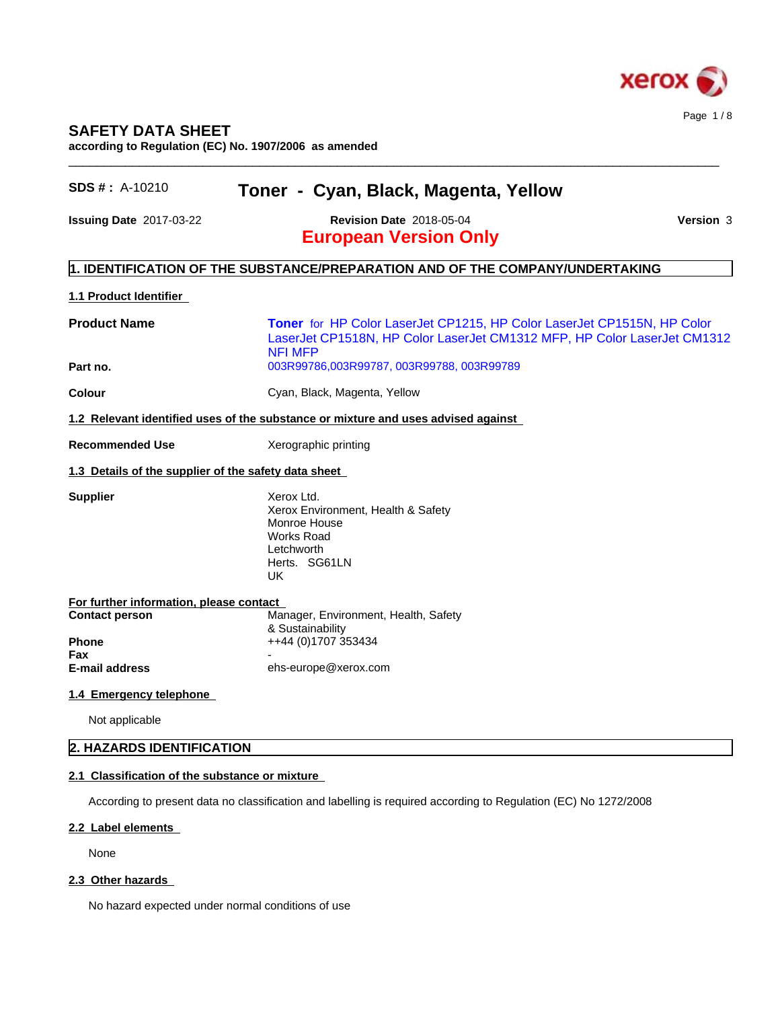

# **SAFETY DATA SHEET**

**according to Regulation (EC) No. 1907/2006 as amended**

| $SDS#$ : A-10210                                                      | Toner - Cyan, Black, Magenta, Yellow                                                                                                                                  |                  |
|-----------------------------------------------------------------------|-----------------------------------------------------------------------------------------------------------------------------------------------------------------------|------------------|
| Issuing Date 2017-03-22                                               | <b>Revision Date 2018-05-04</b><br><b>European Version Only</b>                                                                                                       | <b>Version 3</b> |
|                                                                       | $\vert$ 1. IDENTIFICATION OF THE SUBSTANCE/PREPARATION AND OF THE COMPANY/UNDERTAKING                                                                                 |                  |
| 1.1 Product Identifier                                                |                                                                                                                                                                       |                  |
| <b>Product Name</b>                                                   | Toner for HP Color LaserJet CP1215, HP Color LaserJet CP1515N, HP Color<br>LaserJet CP1518N, HP Color LaserJet CM1312 MFP, HP Color LaserJet CM1312<br><b>NFI MFP</b> |                  |
| Part no.                                                              | 003R99786,003R99787, 003R99788, 003R99789                                                                                                                             |                  |
| Colour                                                                | Cyan, Black, Magenta, Yellow                                                                                                                                          |                  |
|                                                                       | 1.2 Relevant identified uses of the substance or mixture and uses advised against                                                                                     |                  |
| <b>Recommended Use</b>                                                | Xerographic printing                                                                                                                                                  |                  |
| 1.3 Details of the supplier of the safety data sheet                  |                                                                                                                                                                       |                  |
| <b>Supplier</b>                                                       | Xerox Ltd.<br>Xerox Environment, Health & Safety<br>Monroe House<br><b>Works Road</b><br>Letchworth<br>Herts. SG61LN<br>UK                                            |                  |
| For further information, please contact                               |                                                                                                                                                                       |                  |
| <b>Contact person</b><br><b>Phone</b><br>Fax<br><b>E-mail address</b> | Manager, Environment, Health, Safety<br>& Sustainability<br>++44 (0)1707 353434<br>ehs-europe@xerox.com                                                               |                  |
| 1.4 Emergency telephone                                               |                                                                                                                                                                       |                  |
| Not applicable                                                        |                                                                                                                                                                       |                  |
| 2. HAZARDS IDENTIFICATION                                             |                                                                                                                                                                       |                  |

According to present data no classification and labelling is required according to Regulation (EC) No 1272/2008

# **2.2 Label elements**

None

# 2.3 Other hazards

No hazard expected under normal conditions of use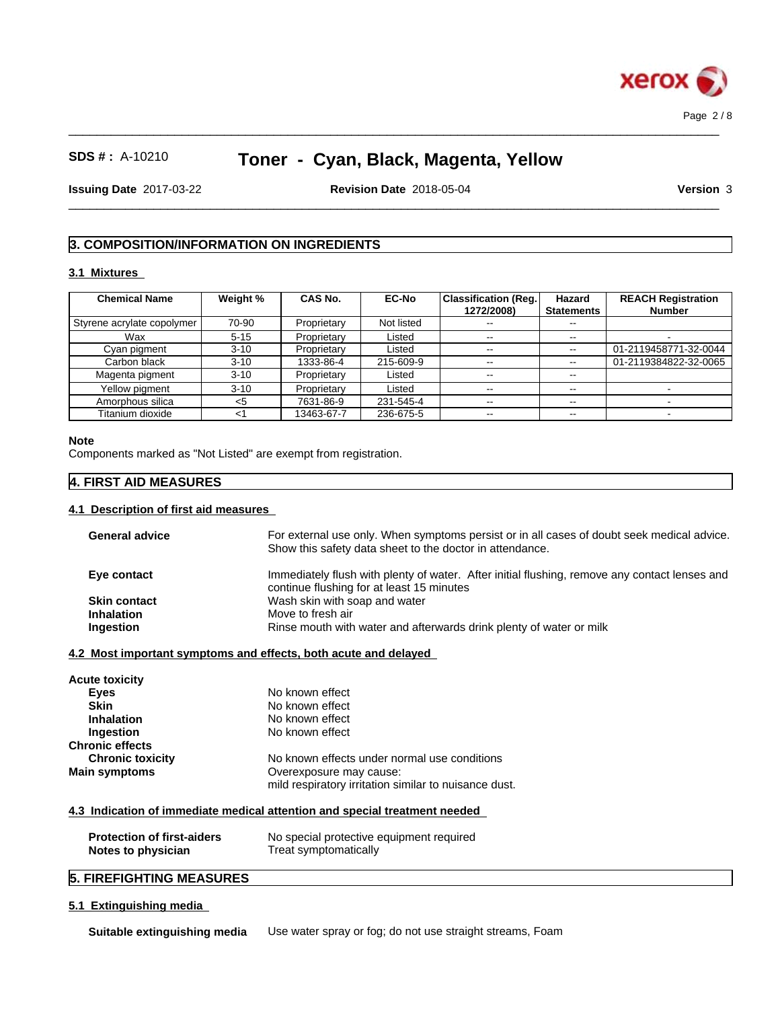

 $\_$  ,  $\_$  ,  $\_$  ,  $\_$  ,  $\_$  ,  $\_$  ,  $\_$  ,  $\_$  ,  $\_$  ,  $\_$  ,  $\_$  ,  $\_$  ,  $\_$  ,  $\_$  ,  $\_$  ,  $\_$  ,  $\_$  ,  $\_$  ,  $\_$  ,  $\_$  ,  $\_$  ,  $\_$  ,  $\_$  ,  $\_$  ,  $\_$  ,  $\_$  ,  $\_$  ,  $\_$  ,  $\_$  ,  $\_$  ,  $\_$  ,  $\_$  ,  $\_$  ,  $\_$  ,  $\_$  ,  $\_$  ,  $\_$  ,

**Issuing Date** 2017-03-22 **Revision Date** 2018-05-04 **Version** 3

 $\_$  ,  $\_$  ,  $\_$  ,  $\_$  ,  $\_$  ,  $\_$  ,  $\_$  ,  $\_$  ,  $\_$  ,  $\_$  ,  $\_$  ,  $\_$  ,  $\_$  ,  $\_$  ,  $\_$  ,  $\_$  ,  $\_$  ,  $\_$  ,  $\_$  ,  $\_$  ,  $\_$  ,  $\_$  ,  $\_$  ,  $\_$  ,  $\_$  ,  $\_$  ,  $\_$  ,  $\_$  ,  $\_$  ,  $\_$  ,  $\_$  ,  $\_$  ,  $\_$  ,  $\_$  ,  $\_$  ,  $\_$  ,  $\_$  ,

# **3. COMPOSITION/INFORMATION ON INGREDIENTS**

# **3.1 Mixtures**

| <b>Chemical Name</b>       | Weight % | <b>CAS No.</b> | <b>EC-No</b> | <b>Classification (Reg.)</b><br>1272/2008) | Hazard<br><b>Statements</b> | <b>REACH Registration</b><br><b>Number</b> |
|----------------------------|----------|----------------|--------------|--------------------------------------------|-----------------------------|--------------------------------------------|
| Styrene acrylate copolymer | 70-90    | Proprietary    | Not listed   | $\sim$ $\sim$                              | $\sim$ $\sim$               |                                            |
| Wax                        | $5 - 15$ | Proprietary    | Listed       |                                            | $- -$                       |                                            |
| Cyan pigment               | $3 - 10$ | Proprietary    | Listed       |                                            | $\sim$ $\sim$               | 01-2119458771-32-0044                      |
| Carbon black               | $3 - 10$ | 1333-86-4      | 215-609-9    | $\sim$ $\sim$                              | $\overline{\phantom{a}}$    | 01-2119384822-32-0065                      |
| Magenta pigment            | $3 - 10$ | Proprietary    | Listed       | $\sim$                                     | $\sim$ $\sim$               |                                            |
| Yellow pigment             | $3 - 10$ | Proprietary    | Listed       |                                            | $- -$                       |                                            |
| Amorphous silica           | <5       | 7631-86-9      | 231-545-4    | $\sim$ $\sim$                              | $\overline{\phantom{a}}$    |                                            |
| Titanium dioxide           | -1       | 13463-67-7     | 236-675-5    | $\sim$ $\sim$                              | $\sim$ $\sim$               |                                            |

### **Note**

Components marked as "Not Listed" are exempt from registration.

# **4. FIRST AID MEASURES**

### **4.1 Description of first aid measures**

| <b>General advice</b>             | For external use only. When symptoms persist or in all cases of doubt seek medical advice.    |
|-----------------------------------|-----------------------------------------------------------------------------------------------|
|                                   | Show this safety data sheet to the doctor in attendance.                                      |
| Eye contact                       | Immediately flush with plenty of water. After initial flushing, remove any contact lenses and |
|                                   | continue flushing for at least 15 minutes                                                     |
| <b>Skin contact</b>               | Wash skin with soap and water                                                                 |
| <b>Inhalation</b>                 | Move to fresh air                                                                             |
| Ingestion                         | Rinse mouth with water and afterwards drink plenty of water or milk                           |
|                                   | 4.2 Most important symptoms and effects, both acute and delayed                               |
|                                   |                                                                                               |
| Acute toxicity                    | No known effect                                                                               |
| <b>Eyes</b><br><b>Skin</b>        | No known effect                                                                               |
|                                   | No known effect                                                                               |
| <b>Inhalation</b>                 |                                                                                               |
| Ingestion                         | No known effect                                                                               |
| <b>Chronic effects</b>            |                                                                                               |
| <b>Chronic toxicity</b>           | No known effects under normal use conditions                                                  |
| Main symptoms                     | Overexposure may cause:                                                                       |
|                                   | mild respiratory irritation similar to nuisance dust.                                         |
|                                   | 4.3 Indication of immediate medical attention and special treatment needed                    |
| <b>Protection of first-aiders</b> | No special protective equipment required                                                      |
| Notes to physician                | Treat symptomatically                                                                         |
|                                   |                                                                                               |
| <b>5. FIREFIGHTING MEASURES</b>   |                                                                                               |

# **5.1 Extinguishing media**

**Suitable extinguishing media** Use water spray or fog; do not use straight streams, Foam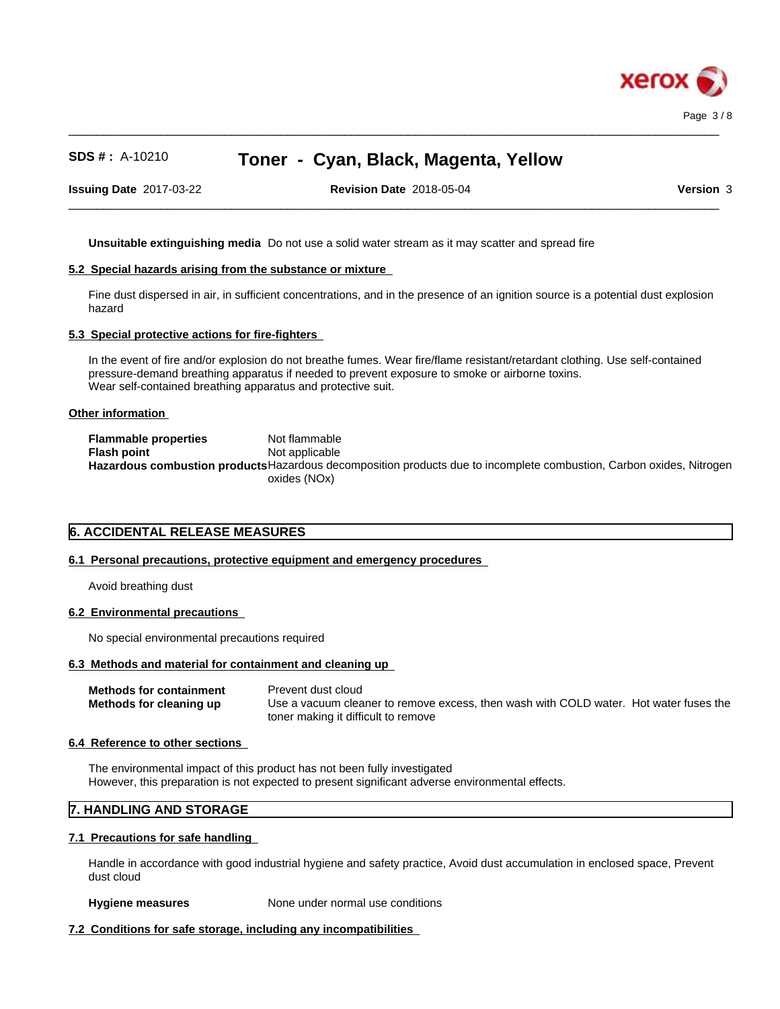

**Issuing Date** 2017-03-22 **Revision Date** 2018-05-04 **Version** 3

 $\_$  ,  $\_$  ,  $\_$  ,  $\_$  ,  $\_$  ,  $\_$  ,  $\_$  ,  $\_$  ,  $\_$  ,  $\_$  ,  $\_$  ,  $\_$  ,  $\_$  ,  $\_$  ,  $\_$  ,  $\_$  ,  $\_$  ,  $\_$  ,  $\_$  ,  $\_$  ,  $\_$  ,  $\_$  ,  $\_$  ,  $\_$  ,  $\_$  ,  $\_$  ,  $\_$  ,  $\_$  ,  $\_$  ,  $\_$  ,  $\_$  ,  $\_$  ,  $\_$  ,  $\_$  ,  $\_$  ,  $\_$  ,  $\_$  ,

 $\_$  ,  $\_$  ,  $\_$  ,  $\_$  ,  $\_$  ,  $\_$  ,  $\_$  ,  $\_$  ,  $\_$  ,  $\_$  ,  $\_$  ,  $\_$  ,  $\_$  ,  $\_$  ,  $\_$  ,  $\_$  ,  $\_$  ,  $\_$  ,  $\_$  ,  $\_$  ,  $\_$  ,  $\_$  ,  $\_$  ,  $\_$  ,  $\_$  ,  $\_$  ,  $\_$  ,  $\_$  ,  $\_$  ,  $\_$  ,  $\_$  ,  $\_$  ,  $\_$  ,  $\_$  ,  $\_$  ,  $\_$  ,  $\_$  ,

**Unsuitable extinguishing media** Do not use a solid water stream as it may scatterand spread fire

### **5.2 Special hazards arising from the substance or mixture**

Fine dust dispersed in air, in sufficient concentrations, and in the presence of an ignition source is a potential dust explosion hazard

#### **5.3 Special protective actions for fire-fighters**

In the event of fire and/or explosion do not breathe fumes. Wear fire/flame resistant/retardant clothing. Use self-contained pressure-demand breathing apparatus if needed to prevent exposure to smoke or airborne toxins. Wear self-contained breathing apparatus and protective suit.

#### **Other information**

**Flammable properties** Not flammable **Flash point** Not applicable **Hazardous combustion products**Hazardous decomposition products due to incomplete combustion, Carbon oxides, Nitrogen oxides (NOx)

# **6. ACCIDENTAL RELEASE MEASURES**

### **6.1 Personal precautions, protective equipment and emergency procedures**

Avoid breathing dust

### **6.2 Environmental precautions**

No special environmental precautions required

# **6.3 Methods and material for containment and cleaning up**

**Methods for containment** Prevent dust cloud **Methods for cleaning up** Use a vacuum cleaner to remove excess, then wash with COLD water. Hot water fuses the toner making it difficult to remove

#### **6.4 Reference to other sections**

The environmental impact of this product has not been fully investigated However, this preparation is not expected to present significant adverse environmental effects.

# **7. HANDLING AND STORAGE**

#### **7.1 Precautions for safe handling**

Handle in accordance with good industrial hygiene and safety practice, Avoid dust accumulation in enclosed space, Prevent dust cloud

#### **Hygiene measures** None under normal use conditions

### **7.2 Conditions for safe storage, including any incompatibilities**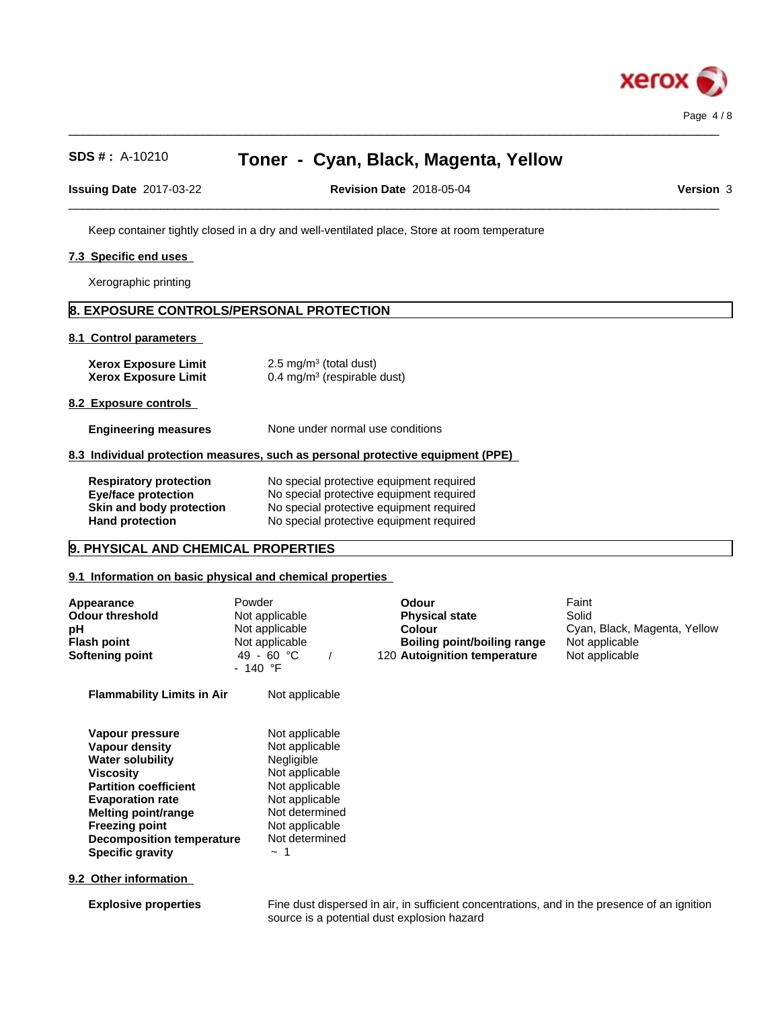

**Issuing Date** 2017-03-22 **Revision Date** 2018-05-04 **Version** 3

 $\_$  ,  $\_$  ,  $\_$  ,  $\_$  ,  $\_$  ,  $\_$  ,  $\_$  ,  $\_$  ,  $\_$  ,  $\_$  ,  $\_$  ,  $\_$  ,  $\_$  ,  $\_$  ,  $\_$  ,  $\_$  ,  $\_$  ,  $\_$  ,  $\_$  ,  $\_$  ,  $\_$  ,  $\_$  ,  $\_$  ,  $\_$  ,  $\_$  ,  $\_$  ,  $\_$  ,  $\_$  ,  $\_$  ,  $\_$  ,  $\_$  ,  $\_$  ,  $\_$  ,  $\_$  ,  $\_$  ,  $\_$  ,  $\_$  ,

 $\_$  ,  $\_$  ,  $\_$  ,  $\_$  ,  $\_$  ,  $\_$  ,  $\_$  ,  $\_$  ,  $\_$  ,  $\_$  ,  $\_$  ,  $\_$  ,  $\_$  ,  $\_$  ,  $\_$  ,  $\_$  ,  $\_$  ,  $\_$  ,  $\_$  ,  $\_$  ,  $\_$  ,  $\_$  ,  $\_$  ,  $\_$  ,  $\_$  ,  $\_$  ,  $\_$  ,  $\_$  ,  $\_$  ,  $\_$  ,  $\_$  ,  $\_$  ,  $\_$  ,  $\_$  ,  $\_$  ,  $\_$  ,  $\_$  ,

Keep container tightly closed in a dry and well-ventilated place, Store at room temperature

### **7.3 Specific end uses**

Xerographic printing

# **8. EXPOSURE CONTROLS/PERSONAL PROTECTION**

#### **8.1 Control parameters**

**Xerox Exposure Limit<br>Xerox Exposure Limit**  $2.5 \text{ mg/m}^3$  (total dust) **Xerox Exposure Limit** 0.4 mg/m<sup>3</sup> (respirable dust)

**8.2 Exposure controls**

**Engineering measures** None under normal use conditions

### **8.3 Individual protection measures, such as personal protective equipment (PPE)**

| <b>Respiratory protection</b> | No special protective equipment required |
|-------------------------------|------------------------------------------|
| <b>Eye/face protection</b>    | No special protective equipment required |
| Skin and body protection      | No special protective equipment required |
| <b>Hand protection</b>        | No special protective equipment required |

# **9. PHYSICAL AND CHEMICAL PROPERTIES**

### **9.1 Information on basic physical and chemical properties**

| Appearance<br><b>Odour threshold</b><br>рH<br><b>Flash point</b><br><b>Softening point</b>                                                                                                                                                                 | Powder<br>Not applicable<br>Not applicable<br>Not applicable<br>49 - 60 °C<br>- 140 °F                                                                            | <b>Odour</b><br><b>Physical state</b><br><b>Colour</b><br><b>Boiling point/boiling range</b><br>120 Autoignition temperature | Faint<br>Solid<br>Cyan, Black, Magenta, Yellow<br>Not applicable<br>Not applicable |  |
|------------------------------------------------------------------------------------------------------------------------------------------------------------------------------------------------------------------------------------------------------------|-------------------------------------------------------------------------------------------------------------------------------------------------------------------|------------------------------------------------------------------------------------------------------------------------------|------------------------------------------------------------------------------------|--|
| <b>Flammability Limits in Air</b>                                                                                                                                                                                                                          | Not applicable                                                                                                                                                    |                                                                                                                              |                                                                                    |  |
| Vapour pressure<br><b>Vapour density</b><br>Water solubility<br>Viscosity<br><b>Partition coefficient</b><br><b>Evaporation rate</b><br><b>Melting point/range</b><br><b>Freezing point</b><br><b>Decomposition temperature</b><br><b>Specific gravity</b> | Not applicable<br>Not applicable<br>Negligible<br>Not applicable<br>Not applicable<br>Not applicable<br>Not determined<br>Not applicable<br>Not determined<br>∼ 1 |                                                                                                                              |                                                                                    |  |
| 9.2 Other information                                                                                                                                                                                                                                      |                                                                                                                                                                   |                                                                                                                              |                                                                                    |  |
| <b>Explosive properties</b>                                                                                                                                                                                                                                |                                                                                                                                                                   | Fine dust dispersed in air, in sufficient concentrations, and in the presence of an ignition                                 |                                                                                    |  |

source is a potential dust explosion hazard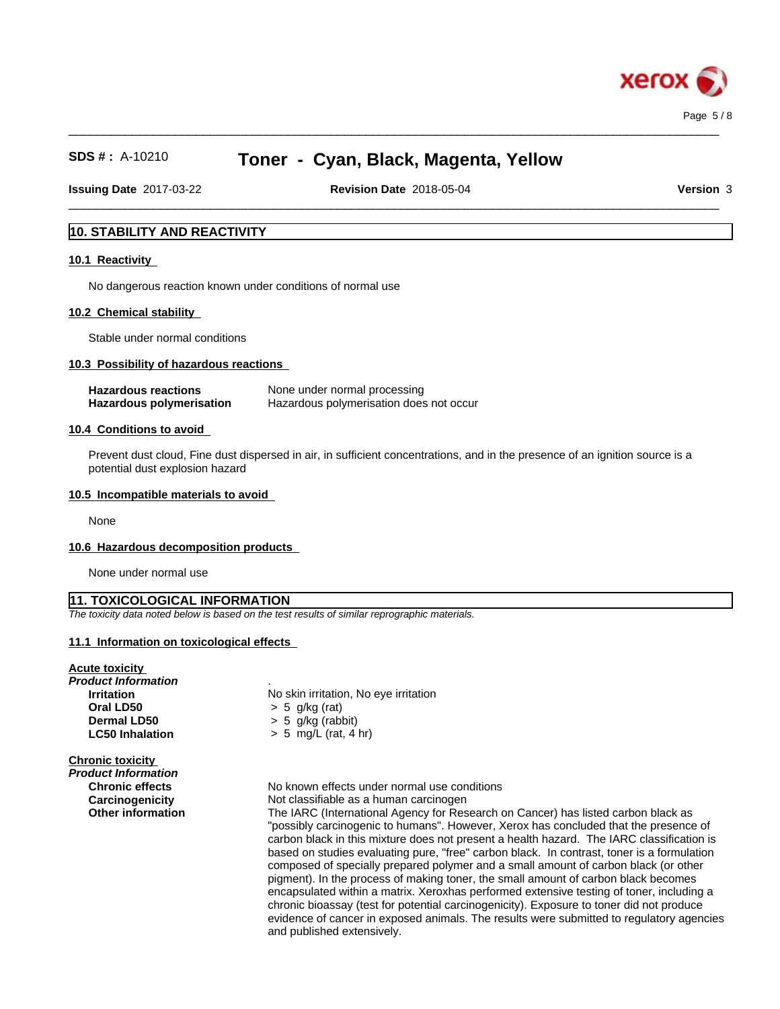

 $\_$  ,  $\_$  ,  $\_$  ,  $\_$  ,  $\_$  ,  $\_$  ,  $\_$  ,  $\_$  ,  $\_$  ,  $\_$  ,  $\_$  ,  $\_$  ,  $\_$  ,  $\_$  ,  $\_$  ,  $\_$  ,  $\_$  ,  $\_$  ,  $\_$  ,  $\_$  ,  $\_$  ,  $\_$  ,  $\_$  ,  $\_$  ,  $\_$  ,  $\_$  ,  $\_$  ,  $\_$  ,  $\_$  ,  $\_$  ,  $\_$  ,  $\_$  ,  $\_$  ,  $\_$  ,  $\_$  ,  $\_$  ,  $\_$  ,

 $\_$  ,  $\_$  ,  $\_$  ,  $\_$  ,  $\_$  ,  $\_$  ,  $\_$  ,  $\_$  ,  $\_$  ,  $\_$  ,  $\_$  ,  $\_$  ,  $\_$  ,  $\_$  ,  $\_$  ,  $\_$  ,  $\_$  ,  $\_$  ,  $\_$  ,  $\_$  ,  $\_$  ,  $\_$  ,  $\_$  ,  $\_$  ,  $\_$  ,  $\_$  ,  $\_$  ,  $\_$  ,  $\_$  ,  $\_$  ,  $\_$  ,  $\_$  ,  $\_$  ,  $\_$  ,  $\_$  ,  $\_$  ,  $\_$  , **Issuing Date** 2017-03-22 **Revision Date** 2018-05-04 **Version** 3

# **10. STABILITY AND REACTIVITY**

### **10.1 Reactivity**

No dangerous reaction known under conditions of normal use

#### **10.2 Chemical stability**

Stable under normal conditions

#### **10.3 Possibility of hazardous reactions**

| <b>Hazardous reactions</b>      | None under normal processing            |
|---------------------------------|-----------------------------------------|
| <b>Hazardous polymerisation</b> | Hazardous polymerisation does not occur |

#### **10.4 Conditions to avoid**

Prevent dust cloud, Fine dust dispersed in air, in sufficient concentrations, and in the presence of an ignition source is a potential dust explosion hazard

#### **10.5 Incompatible materials to avoid**

None

#### **10.6 Hazardous decomposition products**

None under normal use

#### **11. TOXICOLOGICAL INFORMATION**

*The toxicity data noted below is based on the test results of similar reprographic materials.*

#### **11.1 Information on toxicologicaleffects**

#### **Acute toxicity**

*Product Information* . **Oral LD50**  $\rightarrow$  5 g/kg (rat)<br>**Dermal LD50**  $\rightarrow$  5 g/kg (rab)

**Chronic toxicity**

*Product Information*

**Irritation** No skin irritation, No eye irritation **Dermal LD50** > 5 g/kg (rabbit) **LC50 Inhalation** > 5 mg/L (rat, 4 hr)

**Chronic effects** No known effects under normal use conditions **Carcinogenicity** Not classifiable as a human carcinogen **Other information** The IARC (International Agency for Research on Cancer) has listed carbon black as

"possibly carcinogenic to humans". However, Xerox has concluded that the presence of carbon black in this mixture does not present a health hazard. The IARC classification is based on studies evaluating pure, "free" carbon black. In contrast, toner is a formulation composed of specially prepared polymer and a small amount of carbon black (or other pigment). In the process of making toner, the small amount of carbon black becomes encapsulated within a matrix. Xeroxhas performed extensive testing of toner, including a chronic bioassay (test for potential carcinogenicity). Exposure to toner did not produce evidence of cancer in exposed animals. The results were submitted to regulatory agencies and published extensively.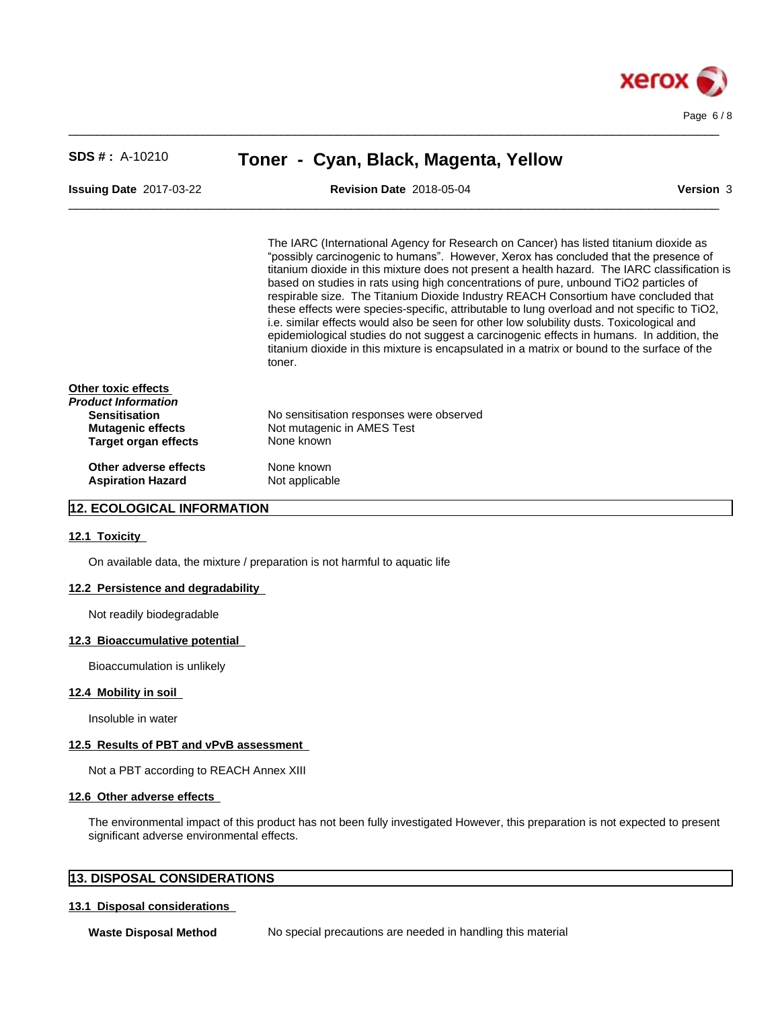

| $SDS #: A-10210$                                                                                                       | Toner - Cyan, Black, Magenta, Yellow                                                                                                                                                                                                                                                                                                                                                                                                                                                                                                                                                                                                                                                                                                                                                                                                                              |  |  |  |
|------------------------------------------------------------------------------------------------------------------------|-------------------------------------------------------------------------------------------------------------------------------------------------------------------------------------------------------------------------------------------------------------------------------------------------------------------------------------------------------------------------------------------------------------------------------------------------------------------------------------------------------------------------------------------------------------------------------------------------------------------------------------------------------------------------------------------------------------------------------------------------------------------------------------------------------------------------------------------------------------------|--|--|--|
| <b>Issuing Date 2017-03-22</b>                                                                                         | <b>Version 3</b><br><b>Revision Date 2018-05-04</b>                                                                                                                                                                                                                                                                                                                                                                                                                                                                                                                                                                                                                                                                                                                                                                                                               |  |  |  |
|                                                                                                                        | The IARC (International Agency for Research on Cancer) has listed titanium dioxide as<br>"possibly carcinogenic to humans". However, Xerox has concluded that the presence of<br>titanium dioxide in this mixture does not present a health hazard. The IARC classification is<br>based on studies in rats using high concentrations of pure, unbound TiO2 particles of<br>respirable size. The Titanium Dioxide Industry REACH Consortium have concluded that<br>these effects were species-specific, attributable to lung overload and not specific to TiO2,<br>i.e. similar effects would also be seen for other low solubility dusts. Toxicological and<br>epidemiological studies do not suggest a carcinogenic effects in humans. In addition, the<br>titanium dioxide in this mixture is encapsulated in a matrix or bound to the surface of the<br>toner. |  |  |  |
| Other toxic effects<br>Product Information<br><b>Sensitisation</b><br><b>Mutagenic effects</b><br>Target organ effects | No sensitisation responses were observed<br>Not mutagenic in AMES Test<br>None known                                                                                                                                                                                                                                                                                                                                                                                                                                                                                                                                                                                                                                                                                                                                                                              |  |  |  |
| Other adverse effects<br><b>Aspiration Hazard</b>                                                                      | None known<br>Not applicable                                                                                                                                                                                                                                                                                                                                                                                                                                                                                                                                                                                                                                                                                                                                                                                                                                      |  |  |  |

 $\_$  ,  $\_$  ,  $\_$  ,  $\_$  ,  $\_$  ,  $\_$  ,  $\_$  ,  $\_$  ,  $\_$  ,  $\_$  ,  $\_$  ,  $\_$  ,  $\_$  ,  $\_$  ,  $\_$  ,  $\_$  ,  $\_$  ,  $\_$  ,  $\_$  ,  $\_$  ,  $\_$  ,  $\_$  ,  $\_$  ,  $\_$  ,  $\_$  ,  $\_$  ,  $\_$  ,  $\_$  ,  $\_$  ,  $\_$  ,  $\_$  ,  $\_$  ,  $\_$  ,  $\_$  ,  $\_$  ,  $\_$  ,  $\_$  ,

# **12. ECOLOGICAL INFORMATION**

#### **12.1 Toxicity**

On available data, the mixture / preparation is not harmful to aquatic life

## **12.2 Persistence and degradability**

Not readily biodegradable

#### **12.3 Bioaccumulative potential**

Bioaccumulation is unlikely

### **12.4 Mobility in soil**

Insoluble in water

# **12.5 Results of PBT and vPvB assessment**

Not a PBT according to REACH Annex XIII

#### **12.6 Other adverse effects**

The environmental impact of this product has not been fully investigated However, this preparation is not expected to present significant adverse environmental effects.

# **13. DISPOSAL CONSIDERATIONS**

#### **13.1 Disposal considerations**

**Waste Disposal Method** No special precautions are needed in handling this material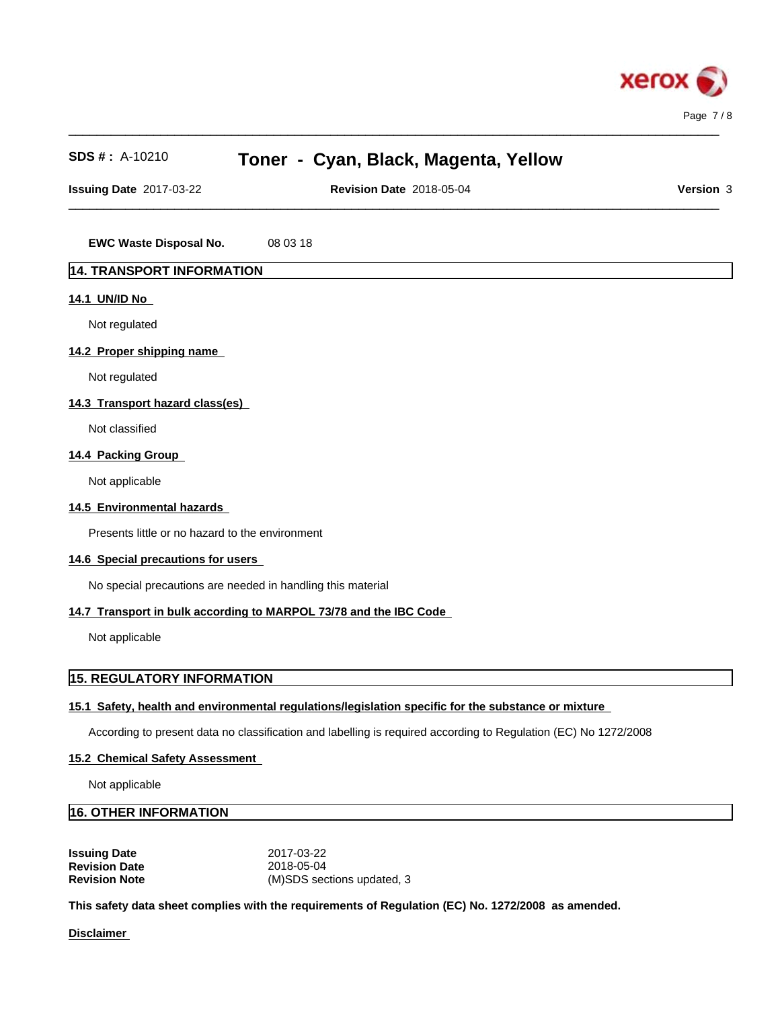

**Issuing Date** 2017-03-22 **Revision Date** 2018-05-04 **Version** 3

 $\_$  ,  $\_$  ,  $\_$  ,  $\_$  ,  $\_$  ,  $\_$  ,  $\_$  ,  $\_$  ,  $\_$  ,  $\_$  ,  $\_$  ,  $\_$  ,  $\_$  ,  $\_$  ,  $\_$  ,  $\_$  ,  $\_$  ,  $\_$  ,  $\_$  ,  $\_$  ,  $\_$  ,  $\_$  ,  $\_$  ,  $\_$  ,  $\_$  ,  $\_$  ,  $\_$  ,  $\_$  ,  $\_$  ,  $\_$  ,  $\_$  ,  $\_$  ,  $\_$  ,  $\_$  ,  $\_$  ,  $\_$  ,  $\_$  ,

 $\_$  ,  $\_$  ,  $\_$  ,  $\_$  ,  $\_$  ,  $\_$  ,  $\_$  ,  $\_$  ,  $\_$  ,  $\_$  ,  $\_$  ,  $\_$  ,  $\_$  ,  $\_$  ,  $\_$  ,  $\_$  ,  $\_$  ,  $\_$  ,  $\_$  ,  $\_$  ,  $\_$  ,  $\_$  ,  $\_$  ,  $\_$  ,  $\_$  ,  $\_$  ,  $\_$  ,  $\_$  ,  $\_$  ,  $\_$  ,  $\_$  ,  $\_$  ,  $\_$  ,  $\_$  ,  $\_$  ,  $\_$  ,  $\_$  ,

**EWC Waste Disposal No.** 08 03 18

# **14. TRANSPORT INFORMATION**

### **14.1 UN/ID No**

Not regulated

### **14.2 Proper shipping name**

Not regulated

# **14.3 Transport hazard class(es)**

Not classified

# **14.4 Packing Group**

Not applicable

### **14.5 Environmental hazards**

Presents little or no hazard to the environment

# **14.6 Special precautions for users**

No special precautions are needed in handling this material

### **14.7 Transport in bulk according to MARPOL 73/78 and the IBC Code**

Not applicable

# **15. REGULATORY INFORMATION**

### **15.1 Safety, health and environmental regulations/legislation specific for the substance or mixture**

According to present data no classification and labelling is required according to Regulation (EC) No 1272/2008

#### **15.2 Chemical Safety Assessment**

Not applicable

# **16. OTHER INFORMATION**

**Issuing Date** 2017-03-22 **Revision Date** 2018-05-04 **Revision Note** (M)SDS sections updated, 3

**This safety data sheet complies with the requirements of Regulation (EC) No. 1272/2008 as amended.**

**Disclaimer**